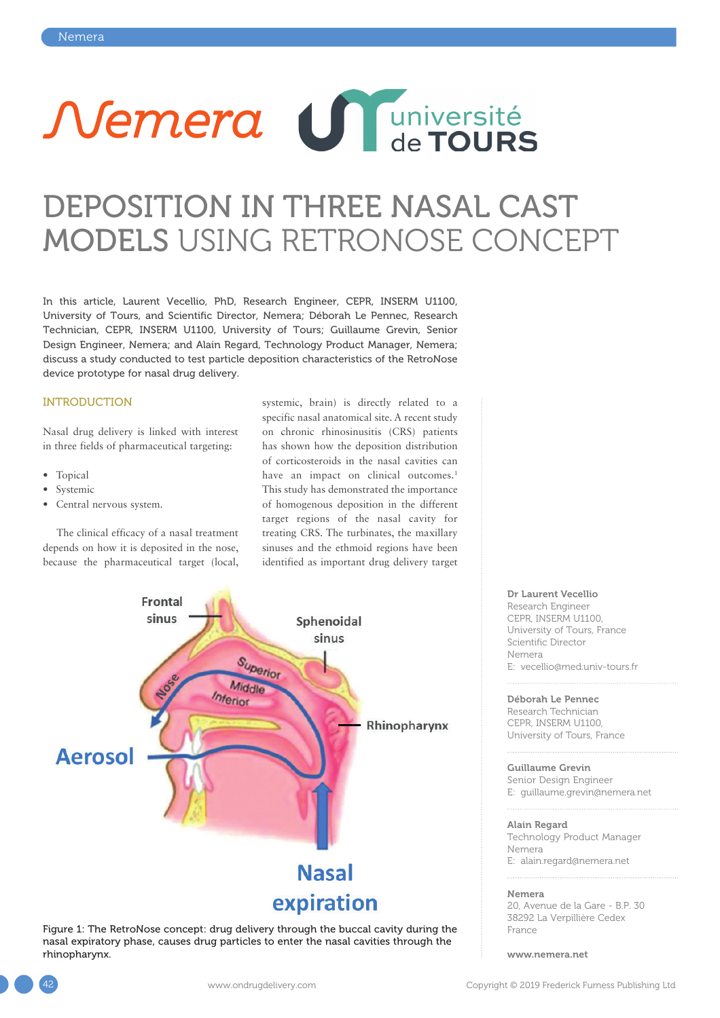

# DEPOSITION IN THREE NASAL CAST MODELS USING RETRONOSE CONCEPT

In this article, Laurent Vecellio, PhD, Research Engineer, CEPR, INSERM U1100, University of Tours, and Scientific Director, Nemera; Déborah Le Pennec, Research Technician, CEPR, INSERM U1100, University of Tours; Guillaume Grevin, Senior Design Engineer, Nemera; and Alain Regard, Technology Product Manager, Nemera; discuss a study conducted to test particle deposition characteristics of the RetroNose device prototype for nasal drug delivery.

### INTRODUCTION

Nasal drug delivery is linked with interest in three fields of pharmaceutical targeting:

- Topical
- Systemic
- Central nervous system.

The clinical efficacy of a nasal treatment depends on how it is deposited in the nose, because the pharmaceutical target (local, systemic, brain) is directly related to a specific nasal anatomical site. A recent study on chronic rhinosinusitis (CRS) patients has shown how the deposition distribution of corticosteroids in the nasal cavities can have an impact on clinical outcomes.<sup>1</sup> This study has demonstrated the importance of homogenous deposition in the different target regions of the nasal cavity for treating CRS. The turbinates, the maxillary sinuses and the ethmoid regions have been identified as important drug delivery target



Figure 1: The RetroNose concept: drug delivery through the buccal cavity during the nasal expiratory phase, causes drug particles to enter the nasal cavities through the rhinopharynx.

Dr Laurent Vecellio Research Engineer CEPR, INSERM U1100, University of Tours, France Scientific Director Nemera E: vecellio@med.univ-tours.fr

Déborah Le Pennec Research Technician CEPR, INSERM U1100, University of Tours, France

Guillaume Grevin Senior Design Engineer E: guillaume.grevin@nemera.net

Alain Regard Technology Product Manager Nemera E: alain.regard@nemera.net

#### Nemera

20, Avenue de la Gare - B.P. 30 38292 La Verpillière Cedex France

www.nemera.net

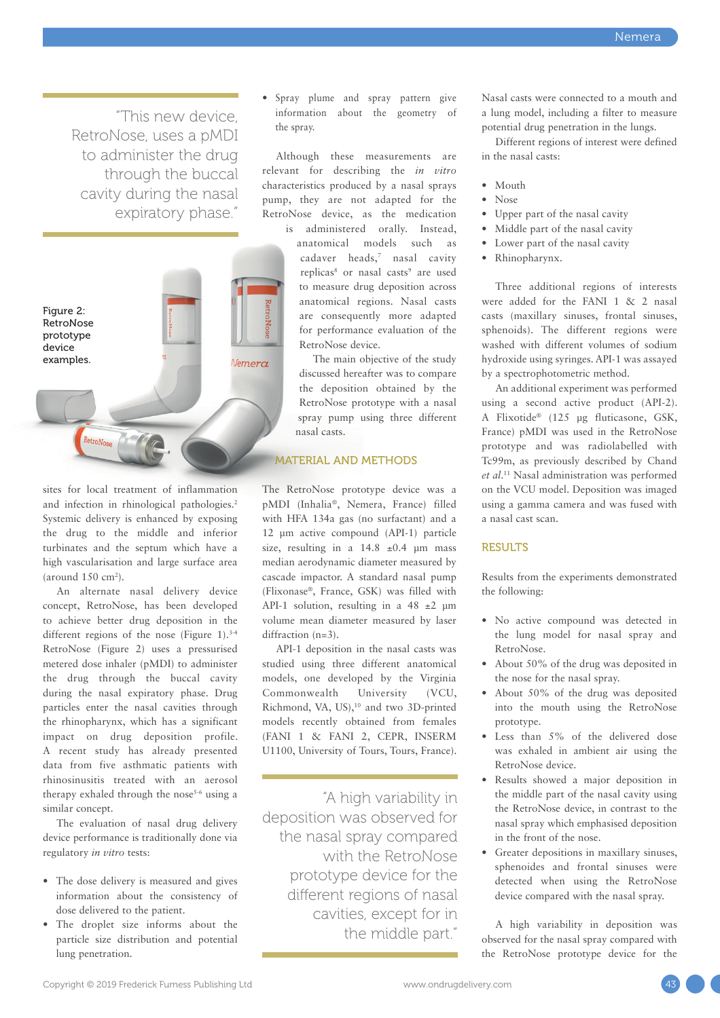"This new device, RetroNose, uses a pMDI to administer the drug through the buccal cavity during the nasal expiratory phase."



sites for local treatment of inflammation and infection in rhinological pathologies.<sup>2</sup> Systemic delivery is enhanced by exposing the drug to the middle and inferior turbinates and the septum which have a high vascularisation and large surface area  $\frac{150 \text{ cm}^2}{\text{cm}^2}$ .

An alternate nasal delivery device concept, RetroNose, has been developed to achieve better drug deposition in the different regions of the nose (Figure 1).<sup>3-4</sup> RetroNose (Figure 2) uses a pressurised metered dose inhaler (pMDI) to administer the drug through the buccal cavity during the nasal expiratory phase. Drug particles enter the nasal cavities through the rhinopharynx, which has a significant impact on drug deposition profile. A recent study has already presented data from five asthmatic patients with rhinosinusitis treated with an aerosol therapy exhaled through the nose<sup>5-6</sup> using a similar concept.

The evaluation of nasal drug delivery device performance is traditionally done via regulatory *in vitro* tests:

- The dose delivery is measured and gives information about the consistency of dose delivered to the patient.
- The droplet size informs about the particle size distribution and potential lung penetration.

• Spray plume and spray pattern give information about the geometry of the spray.

Although these measurements are relevant for describing the *in vitro* characteristics produced by a nasal sprays pump, they are not adapted for the RetroNose device, as the medication

is administered orally. Instead, anatomical models such as cadaver heads,<sup>7</sup> nasal cavity replicas<sup>8</sup> or nasal casts<sup>9</sup> are used to measure drug deposition across anatomical regions. Nasal casts are consequently more adapted for performance evaluation of the RetroNose device.

The main objective of the study discussed hereafter was to compare the deposition obtained by the RetroNose prototype with a nasal spray pump using three different nasal casts.

# MATERIAL AND METHODS

The RetroNose prototype device was a pMDI (Inhalia®, Nemera, France) filled with HFA 134a gas (no surfactant) and a 12 µm active compound (API-1) particle size, resulting in a  $14.8 \pm 0.4$  µm mass median aerodynamic diameter measured by cascade impactor. A standard nasal pump (Flixonase®, France, GSK) was filled with API-1 solution, resulting in a  $48 \pm 2 \mu m$ volume mean diameter measured by laser diffraction (n=3).

API-1 deposition in the nasal casts was studied using three different anatomical models, one developed by the Virginia Commonwealth University (VCU, Richmond, VA, US),<sup>10</sup> and two 3D-printed models recently obtained from females (FANI 1 & FANI 2, CEPR, INSERM U1100, University of Tours, Tours, France).

"A high variability in deposition was observed for the nasal spray compared with the RetroNose prototype device for the different regions of nasal cavities, except for in the middle part."

Nasal casts were connected to a mouth and a lung model, including a filter to measure potential drug penetration in the lungs.

Different regions of interest were defined in the nasal casts:

- Mouth
- Nose
- Upper part of the nasal cavity
- Middle part of the nasal cavity
- Lower part of the nasal cavity
- Rhinopharynx.

Three additional regions of interests were added for the FANI 1 & 2 nasal casts (maxillary sinuses, frontal sinuses, sphenoids). The different regions were washed with different volumes of sodium hydroxide using syringes. API-1 was assayed by a spectrophotometric method.

An additional experiment was performed using a second active product (API-2). A Flixotide® (125 µg fluticasone, GSK, France) pMDI was used in the RetroNose prototype and was radiolabelled with Tc99m, as previously described by Chand *et al*. <sup>11</sup> Nasal administration was performed on the VCU model. Deposition was imaged using a gamma camera and was fused with a nasal cast scan.

# **RESULTS**

Results from the experiments demonstrated the following:

- No active compound was detected in the lung model for nasal spray and RetroNose.
- About 50% of the drug was deposited in the nose for the nasal spray.
- About 50% of the drug was deposited into the mouth using the RetroNose prototype.
- Less than 5% of the delivered dose was exhaled in ambient air using the RetroNose device.
- Results showed a major deposition in the middle part of the nasal cavity using the RetroNose device, in contrast to the nasal spray which emphasised deposition in the front of the nose.
- Greater depositions in maxillary sinuses, sphenoides and frontal sinuses were detected when using the RetroNose device compared with the nasal spray.

A high variability in deposition was observed for the nasal spray compared with the RetroNose prototype device for the